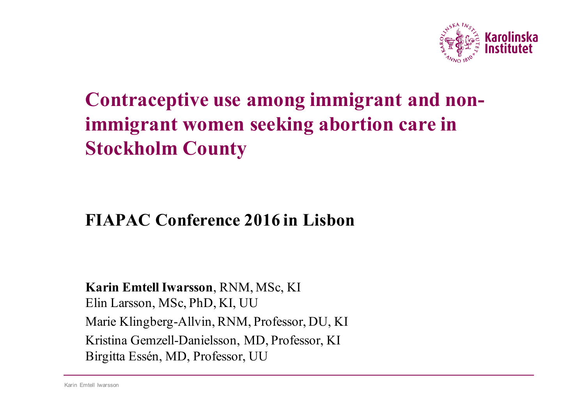

# **Contraceptive use among immigrant and nonimmigrant women seeking abortion care in Stockholm County**

#### **FIAPAC Conference 2016 in Lisbon**

#### **Karin Emtell Iwarsson**, RNM, MSc, KI Elin Larsson, MSc, PhD, KI, UU Marie Klingberg-Allvin, RNM, Professor, DU, KI Kristina Gemzell-Danielsson, MD, Professor, KI Birgitta Essén, MD, Professor, UU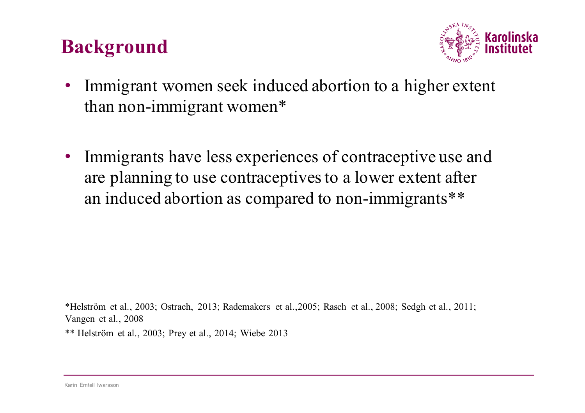## **Background**



- Immigrant women seek induced abortion to a higher extent than non-immigrant women\*
- Immigrants have less experiences of contraceptive use and are planning to use contraceptives to a lower extent after an induced abortion as compared to non-immigrants\*\*

\*Helström et al., 2003; Ostrach, 2013; Rademakers et al.,2005; Rasch et al., 2008; Sedgh et al., 2011; Vangen et al., 2008

\*\* Helström et al., 2003; Prey et al., 2014; Wiebe 2013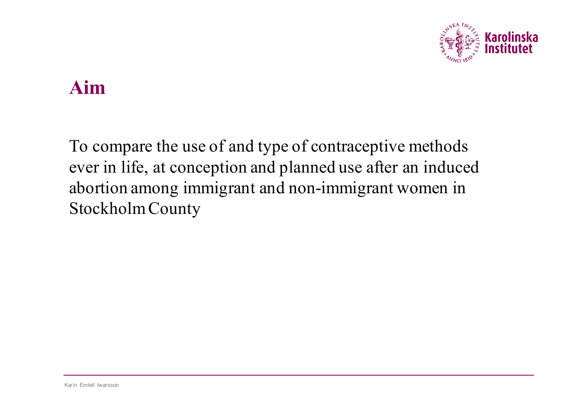

#### **Aim**

To compare the use of and type of contraceptive methods ever in life, at conception and planned use after an induced abortion among immigrant and non-immigrant women in Stockholm County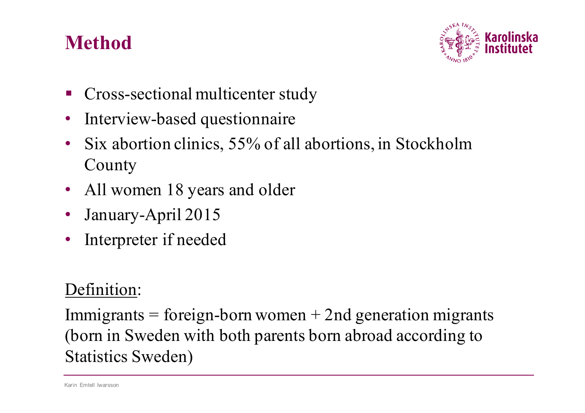# **Method**



- § Cross-sectional multicenter study
- Interview-based questionnaire
- Six abortion clinics, 55% of all abortions, in Stockholm County
- All women 18 years and older
- January-April 2015
- Interpreter if needed

#### Definition:

Immigrants = foreign-born women  $+$  2nd generation migrants (born in Sweden with both parents born abroad according to Statistics Sweden)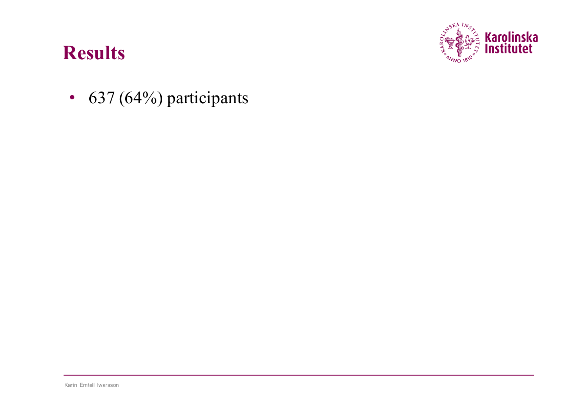

•  $637 (64%)$  participants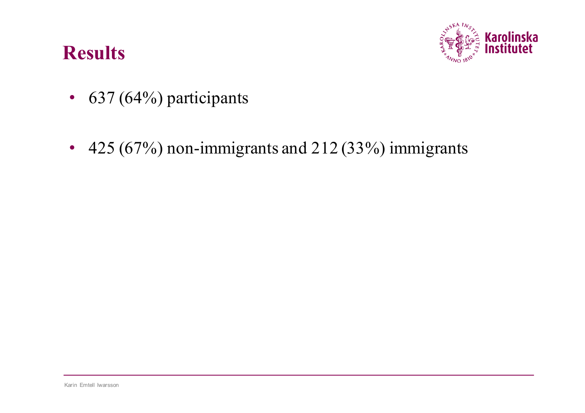

- $637 (64\%)$  participants
- 425 (67%) non-immigrants and 212 (33%) immigrants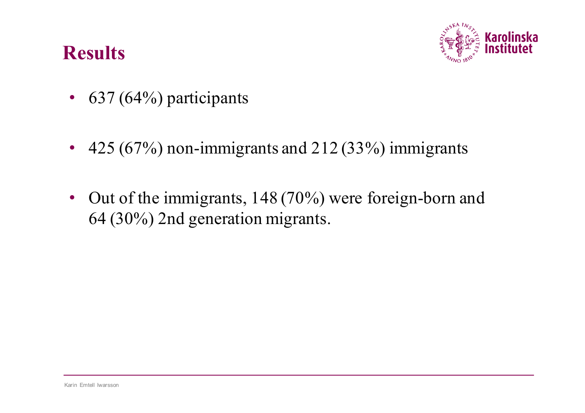

- $637 (64\%)$  participants
- 425 (67%) non-immigrants and 212 (33%) immigrants
- Out of the immigrants, 148 (70%) were foreign-born and 64 (30%) 2nd generation migrants.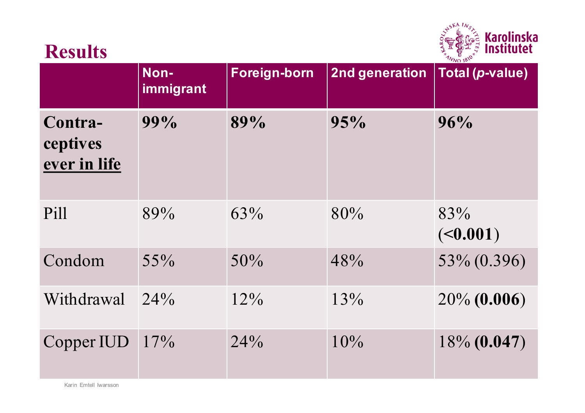

|                                     | Non-<br>immigrant | Foreign-born | 2nd generation | $'$ VVO 10<br><b>Total (p-value)</b> |
|-------------------------------------|-------------------|--------------|----------------|--------------------------------------|
| Contra-<br>ceptives<br>ever in life | 99%               | 89%          | 95%            | 96%                                  |
| Pill                                | 89%               | 63%          | 80%            | 83%<br>( <b>0.001</b> )              |
| Condom                              | 55%               | 50%          | 48%            | 53% (0.396)                          |
| Withdrawal                          | $24\%$            | 12%          | 13%            | $20\%$ (0.006)                       |
| Copper IUD                          | $17\%$            | 24%          | 10%            | $18\%$ (0.047)                       |

Karin Emtell Iwarsson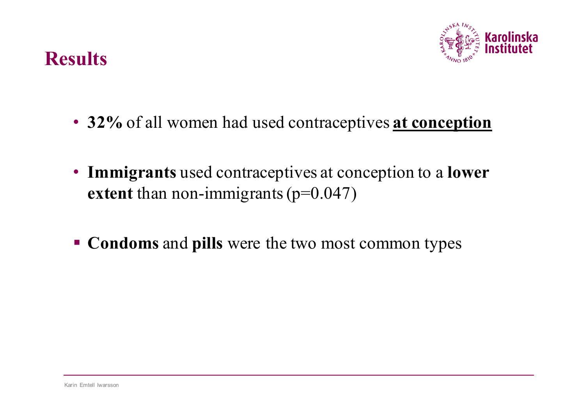

- **32%** of all women had used contraceptives **at conception**
- **Immigrants** used contraceptives at conception to a **lower extent** than non-immigrants (p=0.047)
- § **Condoms** and **pills** were the two most common types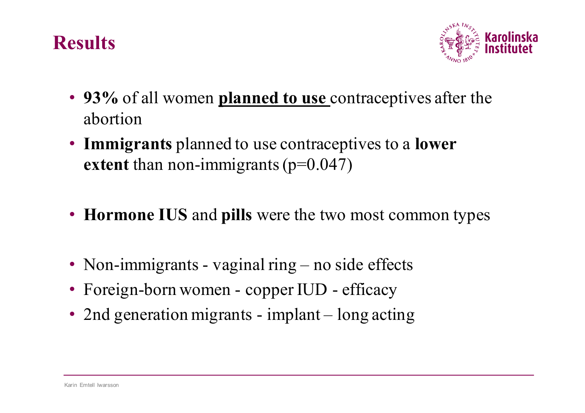

- **93%** of all women **planned to use** contraceptives after the abortion
- **Immigrants** planned to use contraceptives to a **lower extent** than non-immigrants (p=0.047)
- **Hormone IUS** and **pills** were the two most common types
- Non-immigrants vaginal ring no side effects
- Foreign-born women copper IUD efficacy
- 2nd generation migrants implant long acting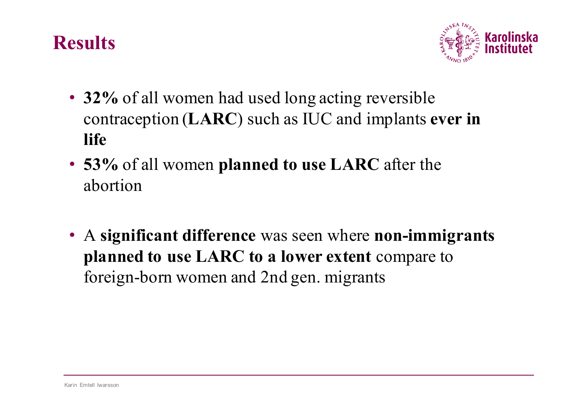

- **32%** of all women had used long acting reversible contraception (**LARC**) such as IUC and implants **ever in life**
- **53%** of all women **planned to use LARC** after the abortion
- A **significant difference** was seen where **non-immigrants planned to use LARC to a lower extent** compare to foreign-born women and 2nd gen. migrants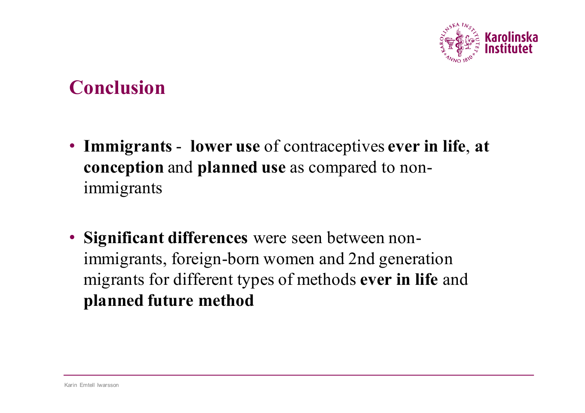

#### **Conclusion**

- **Immigrants lower use** of contraceptives **ever in life**, **at conception** and **planned use** as compared to nonimmigrants
- **Significant differences** were seen between nonimmigrants, foreign-born women and 2nd generation migrants for different types of methods **ever in life** and **planned future method**